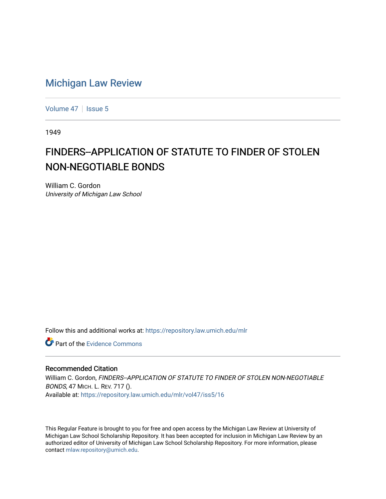## [Michigan Law Review](https://repository.law.umich.edu/mlr)

[Volume 47](https://repository.law.umich.edu/mlr/vol47) | [Issue 5](https://repository.law.umich.edu/mlr/vol47/iss5)

1949

## FINDERS--APPLICATION OF STATUTE TO FINDER OF STOLEN NON-NEGOTIABLE BONDS

William C. Gordon University of Michigan Law School

Follow this and additional works at: [https://repository.law.umich.edu/mlr](https://repository.law.umich.edu/mlr?utm_source=repository.law.umich.edu%2Fmlr%2Fvol47%2Fiss5%2F16&utm_medium=PDF&utm_campaign=PDFCoverPages) 

**C** Part of the Evidence Commons

## Recommended Citation

William C. Gordon, FINDERS--APPLICATION OF STATUTE TO FINDER OF STOLEN NON-NEGOTIABLE BONDS, 47 MICH. L. REV. 717 (). Available at: [https://repository.law.umich.edu/mlr/vol47/iss5/16](https://repository.law.umich.edu/mlr/vol47/iss5/16?utm_source=repository.law.umich.edu%2Fmlr%2Fvol47%2Fiss5%2F16&utm_medium=PDF&utm_campaign=PDFCoverPages) 

This Regular Feature is brought to you for free and open access by the Michigan Law Review at University of Michigan Law School Scholarship Repository. It has been accepted for inclusion in Michigan Law Review by an authorized editor of University of Michigan Law School Scholarship Repository. For more information, please contact [mlaw.repository@umich.edu](mailto:mlaw.repository@umich.edu).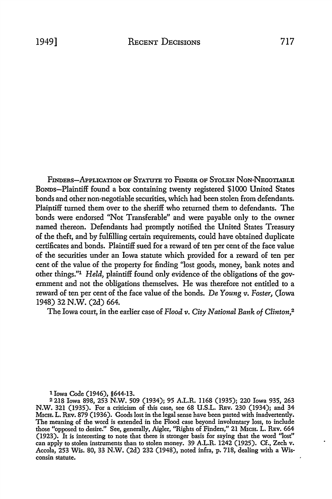FINDERS-APPLICATION OF STATUTE TO FINDER OF STOLEN NON-NEGOTIABLE BoNDs-Plaintiff found a box containing twenty registered \$1000 United States bonds and other non-negotiable securities, which had been stolen from defendants. Plaiptiff turned them over to the sheriff who returned them to defendants. The bonds were endorsed "Not Transferable" and were payable only to the owner named thereon. Defendants had promptly notified the United States Treasury of the theft, and by fulfilling certain requirements, could have obtained duplicate certificates and bonds. Plaintiff sued for a reward of ten per cent of the face value of the securities under an Iowa statute which provided for a reward of ten per cent of the value of the property for finding "lost goods, money, bank notes and other things."1 *Held,* plaintiff found only evidence of the obligations of the government and not the obligations themselves. He was therefore not entitled to a reward of ten per cent of the face value of the bonds. De *Young v. Foster,* (Iowa 1948) 32 N.W. (2d) 664.

The Iowa court, in the earlier case of *Flood v. City National Bank of Clinton*,<sup>2</sup>

1 Iowa Code (1946), §644-13.

<sup>2</sup>218 Iowa 898, 253 N.W. 509 (1934); 95 A.L.R. 1168 (1935); 220 Iowa 935, 263 N.W. 321 (1935). For a criticism of this case, see 68 U.S.L. REv. 230 (1934); and 34 MicH. L. REv. 879 (1936). Goods lost in the legal sense have been parted with inadvertently. The meaning of the word is extended in the Flood case beyond involuntary loss, to include those "opposed to desire." See, generally, Aigler, "Rights of Finders," 21 M1cn. L. REv. 664 (1923). It is interesting to note that there is stronger basis for saying that the word ''lost" can apply to stolen instruments than to stolen money. 39 A.L.R. 1242 (1925). Cf., Zech v. Accola, 253 Wis. 80, 33 N.W. (2d) 232 (1948), noted infra, p. 718, dealing with a Wisconsin statute.